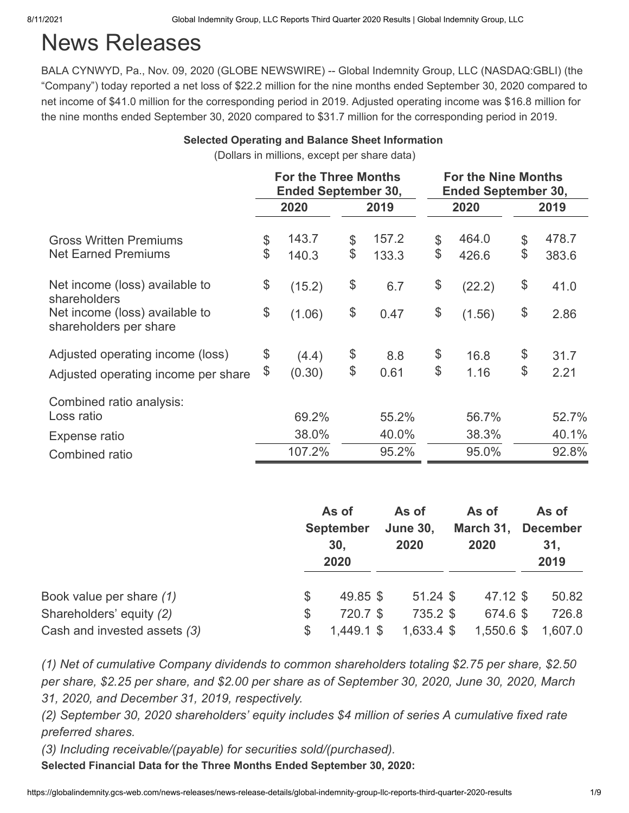# News Releases

BALA CYNWYD, Pa., Nov. 09, 2020 (GLOBE NEWSWIRE) -- Global Indemnity Group, LLC (NASDAQ:GBLI) (the "Company") today reported a net loss of \$22.2 million for the nine months ended September 30, 2020 compared to net income of \$41.0 million for the corresponding period in 2019. Adjusted operating income was \$16.8 million for the nine months ended September 30, 2020 compared to \$31.7 million for the corresponding period in 2019.

#### **Selected Operating and Balance Sheet Information**

(Dollars in millions, except per share data)

|                                                          |              | <b>For the Three Months</b><br><b>Ended September 30,</b> |             | <b>For the Nine Months</b><br><b>Ended September 30,</b> |        |    |       |  |
|----------------------------------------------------------|--------------|-----------------------------------------------------------|-------------|----------------------------------------------------------|--------|----|-------|--|
|                                                          |              | 2020                                                      | 2019        | 2020                                                     |        |    | 2019  |  |
| <b>Gross Written Premiums</b>                            | \$           | 143.7                                                     | \$<br>157.2 | \$                                                       | 464.0  | \$ | 478.7 |  |
| <b>Net Earned Premiums</b>                               | \$           | 140.3                                                     | \$<br>133.3 | \$                                                       | 426.6  | \$ | 383.6 |  |
| Net income (loss) available to<br>shareholders           | \$           | (15.2)                                                    | \$<br>6.7   | \$                                                       | (22.2) | \$ | 41.0  |  |
| Net income (loss) available to<br>shareholders per share | \$<br>(1.06) |                                                           | \$<br>0.47  | \$                                                       | (1.56) | \$ | 2.86  |  |
| Adjusted operating income (loss)                         | \$           | (4.4)                                                     | \$<br>8.8   | \$                                                       | 16.8   | \$ | 31.7  |  |
| Adjusted operating income per share                      | \$           | (0.30)                                                    | \$<br>0.61  | \$                                                       | 1.16   | \$ | 2.21  |  |
| Combined ratio analysis:                                 |              |                                                           |             |                                                          |        |    |       |  |
| Loss ratio                                               |              | 69.2%                                                     | 55.2%       |                                                          | 56.7%  |    | 52.7% |  |
| Expense ratio                                            |              | 38.0%                                                     | 40.0%       |                                                          | 38.3%  |    | 40.1% |  |
| Combined ratio                                           |              | 107.2%                                                    | 95.2%       |                                                          | 95.0%  |    | 92.8% |  |

|                              |    | As of<br><b>September</b><br>30,<br>2020 | As of<br><b>June 30,</b><br>2020 | As of<br>March 31,<br>2020 |            | As of<br><b>December</b><br>31,<br>2019 |         |
|------------------------------|----|------------------------------------------|----------------------------------|----------------------------|------------|-----------------------------------------|---------|
| Book value per share (1)     | \$ | 49.85 \$                                 | $51.24$ \$                       |                            | 47.12 \$   |                                         | 50.82   |
| Shareholders' equity (2)     | \$ | 720.7 \$                                 | 735.2 \$                         |                            | 674.6 \$   |                                         | 726.8   |
| Cash and invested assets (3) | \$ | 1,449.1 \$                               | 1,633.4 \$                       |                            | 1,550.6 \$ |                                         | 1,607.0 |

*(1) Net of cumulative Company dividends to common shareholders totaling \$2.75 per share, \$2.50 per share, \$2.25 per share, and \$2.00 per share as of September 30, 2020, June 30, 2020, March 31, 2020, and December 31, 2019, respectively.*

*(2) September 30, 2020 shareholders' equity includes \$4 million of series A cumulative fixed rate preferred shares.*

*(3) Including receivable/(payable) for securities sold/(purchased).*

**Selected Financial Data for the Three Months Ended September 30, 2020:**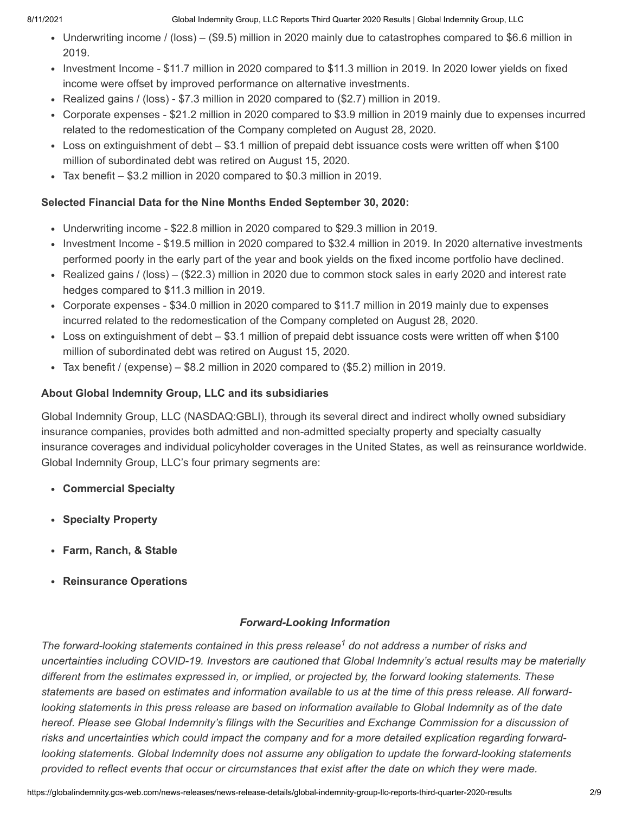- Underwriting income / (loss) (\$9.5) million in 2020 mainly due to catastrophes compared to \$6.6 million in 2019.
- Investment Income \$11.7 million in 2020 compared to \$11.3 million in 2019. In 2020 lower yields on fixed income were offset by improved performance on alternative investments.
- Realized gains / (loss) \$7.3 million in 2020 compared to  $($2.7)$  million in 2019.
- Corporate expenses \$21.2 million in 2020 compared to \$3.9 million in 2019 mainly due to expenses incurred related to the redomestication of the Company completed on August 28, 2020.
- Loss on extinguishment of debt \$3.1 million of prepaid debt issuance costs were written off when \$100 million of subordinated debt was retired on August 15, 2020.
- Tax benefit \$3.2 million in 2020 compared to \$0.3 million in 2019.

## **Selected Financial Data for the Nine Months Ended September 30, 2020:**

- Underwriting income \$22.8 million in 2020 compared to \$29.3 million in 2019.
- Investment Income \$19.5 million in 2020 compared to \$32.4 million in 2019. In 2020 alternative investments performed poorly in the early part of the year and book yields on the fixed income portfolio have declined.
- Realized gains / (loss) (\$22.3) million in 2020 due to common stock sales in early 2020 and interest rate hedges compared to \$11.3 million in 2019.
- Corporate expenses \$34.0 million in 2020 compared to \$11.7 million in 2019 mainly due to expenses incurred related to the redomestication of the Company completed on August 28, 2020.
- Loss on extinguishment of debt \$3.1 million of prepaid debt issuance costs were written off when \$100 million of subordinated debt was retired on August 15, 2020.
- Tax benefit / (expense) \$8.2 million in 2020 compared to (\$5.2) million in 2019.

## **About Global Indemnity Group, LLC and its subsidiaries**

Global Indemnity Group, LLC (NASDAQ:GBLI), through its several direct and indirect wholly owned subsidiary insurance companies, provides both admitted and non-admitted specialty property and specialty casualty insurance coverages and individual policyholder coverages in the United States, as well as reinsurance worldwide. Global Indemnity Group, LLC's four primary segments are:

- **Commercial Specialty**
- **Specialty Property**
- **Farm, Ranch, & Stable**
- **Reinsurance Operations**

## *Forward-Looking Information*

The forward-looking statements contained in this press release<sup>1</sup> do not address a number of risks and *uncertainties including COVID-19. Investors are cautioned that Global Indemnity's actual results may be materially different from the estimates expressed in, or implied, or projected by, the forward looking statements. These statements are based on estimates and information available to us at the time of this press release. All forwardlooking statements in this press release are based on information available to Global Indemnity as of the date hereof. Please see Global Indemnity's filings with the Securities and Exchange Commission for a discussion of risks and uncertainties which could impact the company and for a more detailed explication regarding forwardlooking statements. Global Indemnity does not assume any obligation to update the forward-looking statements provided to reflect events that occur or circumstances that exist after the date on which they were made.*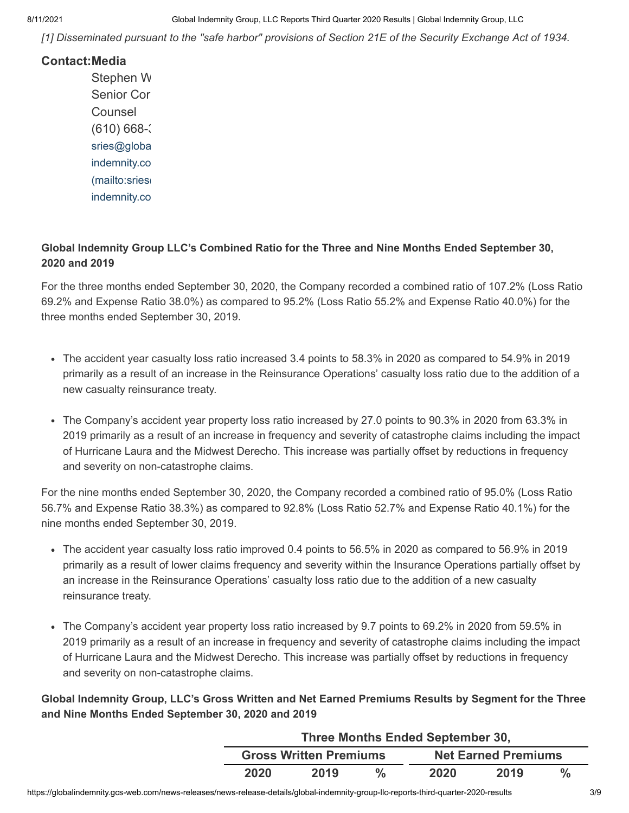*[1] Disseminated pursuant to the "safe harbor" provisions of Section 21E of the Security Exchange Act of 1934.*

### **Contact:Media**

Stephen W Senior Cor **Counsel**  $(610) 668$ [sries@globa](mailto:sries@global-indemnity.com) indemnity.co (mailto:sries indemnity.co

### **Global Indemnity Group LLC's Combined Ratio for the Three and Nine Months Ended September 30, 2020 and 2019**

For the three months ended September 30, 2020, the Company recorded a combined ratio of 107.2% (Loss Ratio 69.2% and Expense Ratio 38.0%) as compared to 95.2% (Loss Ratio 55.2% and Expense Ratio 40.0%) for the three months ended September 30, 2019.

- The accident year casualty loss ratio increased 3.4 points to 58.3% in 2020 as compared to 54.9% in 2019 primarily as a result of an increase in the Reinsurance Operations' casualty loss ratio due to the addition of a new casualty reinsurance treaty.
- The Company's accident year property loss ratio increased by 27.0 points to 90.3% in 2020 from 63.3% in 2019 primarily as a result of an increase in frequency and severity of catastrophe claims including the impact of Hurricane Laura and the Midwest Derecho. This increase was partially offset by reductions in frequency and severity on non-catastrophe claims.

For the nine months ended September 30, 2020, the Company recorded a combined ratio of 95.0% (Loss Ratio 56.7% and Expense Ratio 38.3%) as compared to 92.8% (Loss Ratio 52.7% and Expense Ratio 40.1%) for the nine months ended September 30, 2019.

- The accident year casualty loss ratio improved 0.4 points to 56.5% in 2020 as compared to 56.9% in 2019 primarily as a result of lower claims frequency and severity within the Insurance Operations partially offset by an increase in the Reinsurance Operations' casualty loss ratio due to the addition of a new casualty reinsurance treaty.
- The Company's accident year property loss ratio increased by 9.7 points to 69.2% in 2020 from 59.5% in 2019 primarily as a result of an increase in frequency and severity of catastrophe claims including the impact of Hurricane Laura and the Midwest Derecho. This increase was partially offset by reductions in frequency and severity on non-catastrophe claims.

**Global Indemnity Group, LLC's Gross Written and Net Earned Premiums Results by Segment for the Three and Nine Months Ended September 30, 2020 and 2019**

| Three Months Ended September 30, |                               |               |                            |      |      |  |  |  |
|----------------------------------|-------------------------------|---------------|----------------------------|------|------|--|--|--|
|                                  | <b>Gross Written Premiums</b> |               | <b>Net Earned Premiums</b> |      |      |  |  |  |
| 2020                             | 2019                          | $\frac{0}{2}$ | 2020                       | 2019 | $\%$ |  |  |  |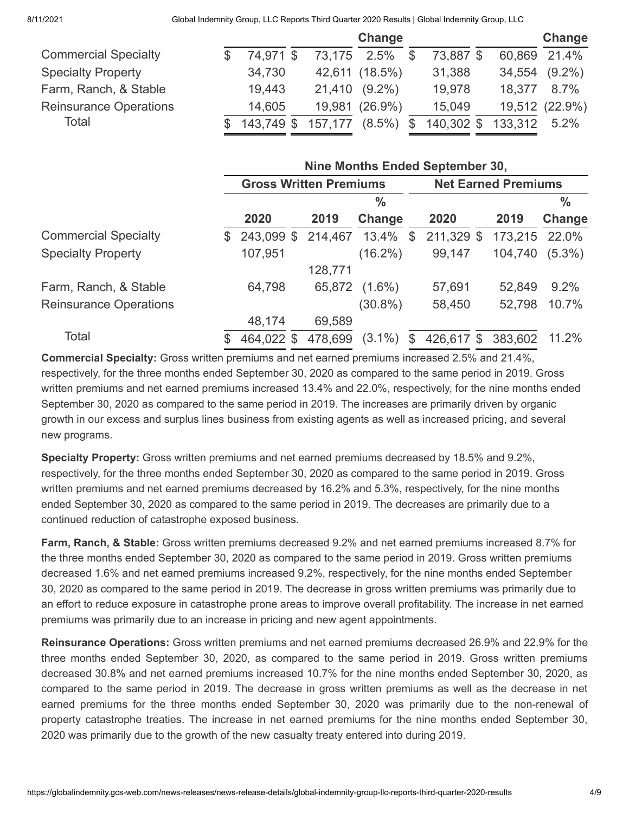8/11/2021 Global Indemnity Group, LLC Reports Third Quarter 2020 Results | Global Indemnity Group, LLC

|                               |               |         | Change         |              |            |         | Change         |
|-------------------------------|---------------|---------|----------------|--------------|------------|---------|----------------|
| <b>Commercial Specialty</b>   | 74,971 \$     | 73,175  | $2.5\%$ \$     |              | 73,887 \$  |         | 60,869 21.4%   |
| <b>Specialty Property</b>     | 34,730        |         | 42,611 (18.5%) |              | 31,388     | 34,554  | $(9.2\%)$      |
| Farm, Ranch, & Stable         | 19,443        | 21,410  | $(9.2\%)$      |              | 19,978     | 18.377  | 8.7%           |
| <b>Reinsurance Operations</b> | 14,605        |         | 19,981 (26.9%) |              | 15,049     |         | 19,512 (22.9%) |
| Total                         | $$143,749$ \$ | 157,177 | $(8.5\%)$      | $\mathbb{S}$ | 140,302 \$ | 133,312 | 5.2%           |

|                               |              | Nine Months Ended September 30, |  |         |               |    |                            |  |         |               |  |  |
|-------------------------------|--------------|---------------------------------|--|---------|---------------|----|----------------------------|--|---------|---------------|--|--|
|                               |              | <b>Gross Written Premiums</b>   |  |         |               |    | <b>Net Earned Premiums</b> |  |         |               |  |  |
|                               |              |                                 |  |         | $\frac{0}{0}$ |    |                            |  |         | $\frac{0}{0}$ |  |  |
|                               |              | 2020                            |  | 2019    | Change        |    | 2020                       |  | 2019    | Change        |  |  |
| <b>Commercial Specialty</b>   | $\mathbb{S}$ | 243,099 \$                      |  | 214,467 | 13.4%         | \$ | 211,329 \$                 |  | 173,215 | 22.0%         |  |  |
| <b>Specialty Property</b>     |              | 107,951                         |  |         | $(16.2\%)$    |    | 99,147                     |  | 104,740 | $(5.3\%)$     |  |  |
|                               |              |                                 |  | 128,771 |               |    |                            |  |         |               |  |  |
| Farm, Ranch, & Stable         |              | 64,798                          |  | 65,872  | $(1.6\%)$     |    | 57,691                     |  | 52,849  | 9.2%          |  |  |
| <b>Reinsurance Operations</b> |              |                                 |  |         | $(30.8\%)$    |    | 58,450                     |  | 52,798  | 10.7%         |  |  |
|                               |              | 48,174                          |  | 69,589  |               |    |                            |  |         |               |  |  |
| Total                         | S            | 464,022 \$                      |  | 478,699 | $(3.1\%)$     | £. | 426,617 \$                 |  | 383,602 | 11.2%         |  |  |

**Commercial Specialty:** Gross written premiums and net earned premiums increased 2.5% and 21.4%, respectively, for the three months ended September 30, 2020 as compared to the same period in 2019. Gross written premiums and net earned premiums increased 13.4% and 22.0%, respectively, for the nine months ended September 30, 2020 as compared to the same period in 2019. The increases are primarily driven by organic growth in our excess and surplus lines business from existing agents as well as increased pricing, and several new programs.

**Specialty Property:** Gross written premiums and net earned premiums decreased by 18.5% and 9.2%, respectively, for the three months ended September 30, 2020 as compared to the same period in 2019. Gross written premiums and net earned premiums decreased by 16.2% and 5.3%, respectively, for the nine months ended September 30, 2020 as compared to the same period in 2019. The decreases are primarily due to a continued reduction of catastrophe exposed business.

**Farm, Ranch, & Stable:** Gross written premiums decreased 9.2% and net earned premiums increased 8.7% for the three months ended September 30, 2020 as compared to the same period in 2019. Gross written premiums decreased 1.6% and net earned premiums increased 9.2%, respectively, for the nine months ended September 30, 2020 as compared to the same period in 2019. The decrease in gross written premiums was primarily due to an effort to reduce exposure in catastrophe prone areas to improve overall profitability. The increase in net earned premiums was primarily due to an increase in pricing and new agent appointments.

**Reinsurance Operations:** Gross written premiums and net earned premiums decreased 26.9% and 22.9% for the three months ended September 30, 2020, as compared to the same period in 2019. Gross written premiums decreased 30.8% and net earned premiums increased 10.7% for the nine months ended September 30, 2020, as compared to the same period in 2019. The decrease in gross written premiums as well as the decrease in net earned premiums for the three months ended September 30, 2020 was primarily due to the non-renewal of property catastrophe treaties. The increase in net earned premiums for the nine months ended September 30, 2020 was primarily due to the growth of the new casualty treaty entered into during 2019.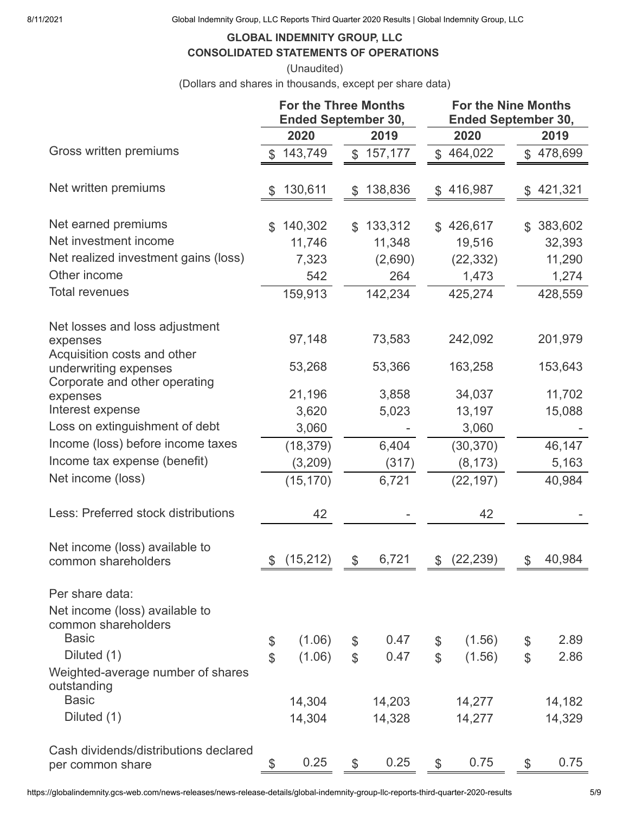8/11/2021 Global Indemnity Group, LLC Reports Third Quarter 2020 Results | Global Indemnity Group, LLC

## **GLOBAL INDEMNITY GROUP, LLC CONSOLIDATED STATEMENTS OF OPERATIONS**

(Unaudited)

(Dollars and shares in thousands, except per share data)

|                                                                           | <b>For the Three Months</b><br><b>Ended September 30,</b> |            |                |         | <b>For the Nine Months</b><br><b>Ended September 30,</b> |              |               |         |  |
|---------------------------------------------------------------------------|-----------------------------------------------------------|------------|----------------|---------|----------------------------------------------------------|--------------|---------------|---------|--|
|                                                                           |                                                           | 2020       |                | 2019    |                                                          | 2020         |               | 2019    |  |
| Gross written premiums                                                    | \$                                                        | 143,749    | $\mathcal{L}$  | 157,177 |                                                          | \$464,022    | $\mathcal{S}$ | 478,699 |  |
| Net written premiums                                                      | \$                                                        | 130,611    | \$             | 138,836 | \$                                                       | 416,987      | \$            | 421,321 |  |
| Net earned premiums                                                       | $\mathfrak{L}$                                            | 140,302    | $\mathfrak{L}$ | 133,312 | $\mathcal{L}$                                            | 426,617      | \$            | 383,602 |  |
| Net investment income                                                     |                                                           | 11,746     |                | 11,348  |                                                          | 19,516       |               | 32,393  |  |
| Net realized investment gains (loss)                                      |                                                           | 7,323      |                | (2,690) |                                                          | (22, 332)    |               | 11,290  |  |
| Other income                                                              |                                                           | 542        |                | 264     |                                                          | 1,473        |               | 1,274   |  |
| <b>Total revenues</b>                                                     |                                                           | 159,913    |                | 142,234 |                                                          | 425,274      |               | 428,559 |  |
| Net losses and loss adjustment<br>expenses<br>Acquisition costs and other |                                                           | 97,148     |                | 73,583  |                                                          | 242,092      |               | 201,979 |  |
| underwriting expenses<br>Corporate and other operating                    |                                                           | 53,268     |                | 53,366  |                                                          | 163,258      |               | 153,643 |  |
| expenses                                                                  |                                                           | 21,196     |                | 3,858   |                                                          | 34,037       |               | 11,702  |  |
| Interest expense                                                          |                                                           | 3,620      |                | 5,023   |                                                          | 13,197       |               | 15,088  |  |
| Loss on extinguishment of debt                                            |                                                           | 3,060      |                |         |                                                          | 3,060        |               |         |  |
| Income (loss) before income taxes                                         |                                                           | (18, 379)  |                | 6,404   |                                                          | (30, 370)    |               | 46,147  |  |
| Income tax expense (benefit)                                              |                                                           | (3,209)    |                | (317)   |                                                          | (8, 173)     |               | 5,163   |  |
| Net income (loss)                                                         |                                                           | (15, 170)  |                | 6,721   |                                                          | (22, 197)    |               | 40,984  |  |
| Less: Preferred stock distributions                                       |                                                           | 42         |                |         |                                                          | 42           |               |         |  |
| Net income (loss) available to<br>common shareholders                     |                                                           | \$(15,212) | \$             | 6,721   |                                                          | \$ (22, 239) | \$            | 40,984  |  |
| Per share data:                                                           |                                                           |            |                |         |                                                          |              |               |         |  |
| Net income (loss) available to<br>common shareholders                     |                                                           |            |                |         |                                                          |              |               |         |  |
| <b>Basic</b>                                                              | \$                                                        | (1.06)     | \$             | 0.47    | \$                                                       | (1.56)       | \$            | 2.89    |  |
| Diluted (1)                                                               | $\mathbb S$                                               | (1.06)     | $\mathcal{L}$  | 0.47    | $\mathcal{L}$                                            | (1.56)       | $\mathcal{L}$ | 2.86    |  |
| Weighted-average number of shares<br>outstanding                          |                                                           |            |                |         |                                                          |              |               |         |  |
| <b>Basic</b>                                                              |                                                           | 14,304     |                | 14,203  |                                                          | 14,277       |               | 14,182  |  |
| Diluted (1)                                                               |                                                           | 14,304     |                | 14,328  |                                                          | 14,277       |               | 14,329  |  |
| Cash dividends/distributions declared<br>per common share                 | \$                                                        | 0.25       | $\mathcal{L}$  | 0.25    | $\mathcal{S}$                                            | 0.75         | \$            | 0.75    |  |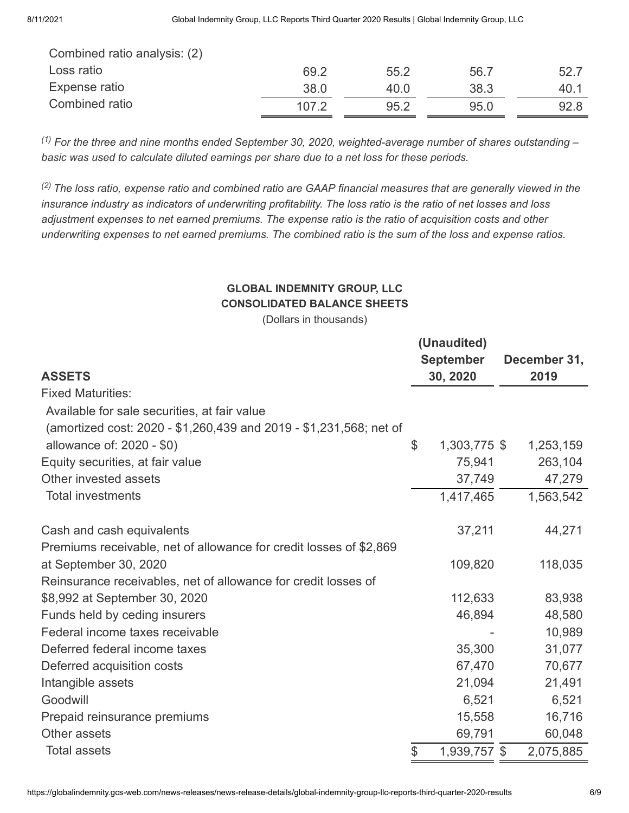| Combined ratio analysis: (2) |       |      |      |      |
|------------------------------|-------|------|------|------|
| Loss ratio                   | 69.2  | 55.2 | 56.7 | 52.7 |
| Expense ratio                | 38.0  | 40.0 | 38.3 | 40.1 |
| Combined ratio               | 107.2 | 95.2 | 95.0 | 92.8 |
|                              |       |      |      |      |

*For the three and nine months ended September 30, 2020, weighted-average number of shares outstanding – (1) basic was used to calculate diluted earnings per share due to a net loss for these periods.*

*The loss ratio, expense ratio and combined ratio are GAAP financial measures that are generally viewed in the (2)insurance industry as indicators of underwriting profitability. The loss ratio is the ratio of net losses and loss adjustment expenses to net earned premiums. The expense ratio is the ratio of acquisition costs and other underwriting expenses to net earned premiums. The combined ratio is the sum of the loss and expense ratios.*

# **GLOBAL INDEMNITY GROUP, LLC CONSOLIDATED BALANCE SHEETS**

(Dollars in thousands)

|                                                                    |                  | (Unaudited)  |      |              |  |
|--------------------------------------------------------------------|------------------|--------------|------|--------------|--|
|                                                                    | <b>September</b> |              |      | December 31, |  |
| <b>ASSETS</b>                                                      |                  | 30, 2020     | 2019 |              |  |
| <b>Fixed Maturities:</b>                                           |                  |              |      |              |  |
| Available for sale securities, at fair value                       |                  |              |      |              |  |
| (amortized cost: 2020 - \$1,260,439 and 2019 - \$1,231,568; net of |                  |              |      |              |  |
| allowance of: 2020 - \$0)                                          | \$               | 1,303,775 \$ |      | 1,253,159    |  |
| Equity securities, at fair value                                   |                  | 75,941       |      | 263,104      |  |
| Other invested assets                                              |                  | 37,749       |      | 47,279       |  |
| <b>Total investments</b>                                           |                  | 1,417,465    |      | 1,563,542    |  |
| Cash and cash equivalents                                          |                  | 37,211       |      | 44,271       |  |
| Premiums receivable, net of allowance for credit losses of \$2,869 |                  |              |      |              |  |
| at September 30, 2020                                              |                  | 109,820      |      | 118,035      |  |
| Reinsurance receivables, net of allowance for credit losses of     |                  |              |      |              |  |
| \$8,992 at September 30, 2020                                      |                  | 112,633      |      | 83,938       |  |
| Funds held by ceding insurers                                      |                  | 46,894       |      | 48,580       |  |
| Federal income taxes receivable                                    |                  |              |      | 10,989       |  |
| Deferred federal income taxes                                      |                  | 35,300       |      | 31,077       |  |
| Deferred acquisition costs                                         |                  | 67,470       |      | 70,677       |  |
| Intangible assets                                                  |                  | 21,094       |      | 21,491       |  |
| Goodwill                                                           |                  | 6,521        |      | 6,521        |  |
| Prepaid reinsurance premiums                                       |                  | 15,558       |      | 16,716       |  |
| Other assets                                                       |                  | 69,791       |      | 60,048       |  |
| <b>Total assets</b>                                                | \$               | 1,939,757 \$ |      | 2,075,885    |  |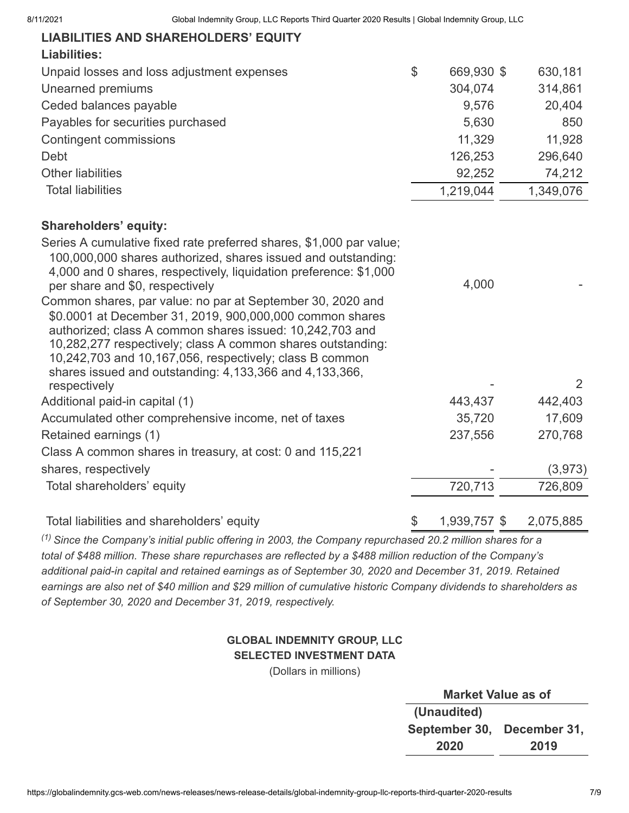| <b>LIABILITIES AND SHAREHOLDERS' EQUITY</b>                                                                                                                                                                                                                                                                                                                             |                    |           |
|-------------------------------------------------------------------------------------------------------------------------------------------------------------------------------------------------------------------------------------------------------------------------------------------------------------------------------------------------------------------------|--------------------|-----------|
| <b>Liabilities:</b>                                                                                                                                                                                                                                                                                                                                                     |                    |           |
| Unpaid losses and loss adjustment expenses                                                                                                                                                                                                                                                                                                                              | \$<br>669,930 \$   | 630,181   |
| Unearned premiums                                                                                                                                                                                                                                                                                                                                                       | 304,074            | 314,861   |
| Ceded balances payable                                                                                                                                                                                                                                                                                                                                                  | 9,576              | 20,404    |
| Payables for securities purchased                                                                                                                                                                                                                                                                                                                                       | 5,630              | 850       |
| <b>Contingent commissions</b>                                                                                                                                                                                                                                                                                                                                           | 11,329             | 11,928    |
| Debt                                                                                                                                                                                                                                                                                                                                                                    | 126,253            | 296,640   |
| <b>Other liabilities</b>                                                                                                                                                                                                                                                                                                                                                | 92,252             | 74,212    |
| <b>Total liabilities</b>                                                                                                                                                                                                                                                                                                                                                | 1,219,044          | 1,349,076 |
| <b>Shareholders' equity:</b>                                                                                                                                                                                                                                                                                                                                            |                    |           |
| Series A cumulative fixed rate preferred shares, \$1,000 par value;<br>100,000,000 shares authorized, shares issued and outstanding:<br>4,000 and 0 shares, respectively, liquidation preference: \$1,000<br>per share and \$0, respectively                                                                                                                            | 4,000              |           |
| Common shares, par value: no par at September 30, 2020 and<br>\$0.0001 at December 31, 2019, 900,000,000 common shares<br>authorized; class A common shares issued: 10,242,703 and<br>10,282,277 respectively; class A common shares outstanding:<br>10,242,703 and 10,167,056, respectively; class B common<br>shares issued and outstanding: 4,133,366 and 4,133,366, |                    |           |
| respectively                                                                                                                                                                                                                                                                                                                                                            |                    | 2         |
| Additional paid-in capital (1)                                                                                                                                                                                                                                                                                                                                          | 443,437            | 442,403   |
| Accumulated other comprehensive income, net of taxes                                                                                                                                                                                                                                                                                                                    | 35,720             | 17,609    |
| Retained earnings (1)                                                                                                                                                                                                                                                                                                                                                   | 237,556            | 270,768   |
| Class A common shares in treasury, at cost: 0 and 115,221                                                                                                                                                                                                                                                                                                               |                    |           |
| shares, respectively                                                                                                                                                                                                                                                                                                                                                    |                    | (3, 973)  |
| Total shareholders' equity                                                                                                                                                                                                                                                                                                                                              | 720,713            | 726,809   |
| Total liabilities and shareholders' equity                                                                                                                                                                                                                                                                                                                              | \$<br>1,939,757 \$ | 2,075,885 |
| $^{(1)}$ Since the Company's initial public offering in 2003, the Company repurchased 20.2 million shares for a                                                                                                                                                                                                                                                         |                    |           |

*total of \$488 million. These share repurchases are reflected by a \$488 million reduction of the Company's additional paid-in capital and retained earnings as of September 30, 2020 and December 31, 2019. Retained earnings are also net of \$40 million and \$29 million of cumulative historic Company dividends to shareholders as of September 30, 2020 and December 31, 2019, respectively.*

## **GLOBAL INDEMNITY GROUP, LLC SELECTED INVESTMENT DATA**

(Dollars in millions)

| <b>Market Value as of</b>  |  |  |  |  |  |  |  |  |  |
|----------------------------|--|--|--|--|--|--|--|--|--|
| (Unaudited)                |  |  |  |  |  |  |  |  |  |
| September 30, December 31, |  |  |  |  |  |  |  |  |  |
| 2020<br>2019               |  |  |  |  |  |  |  |  |  |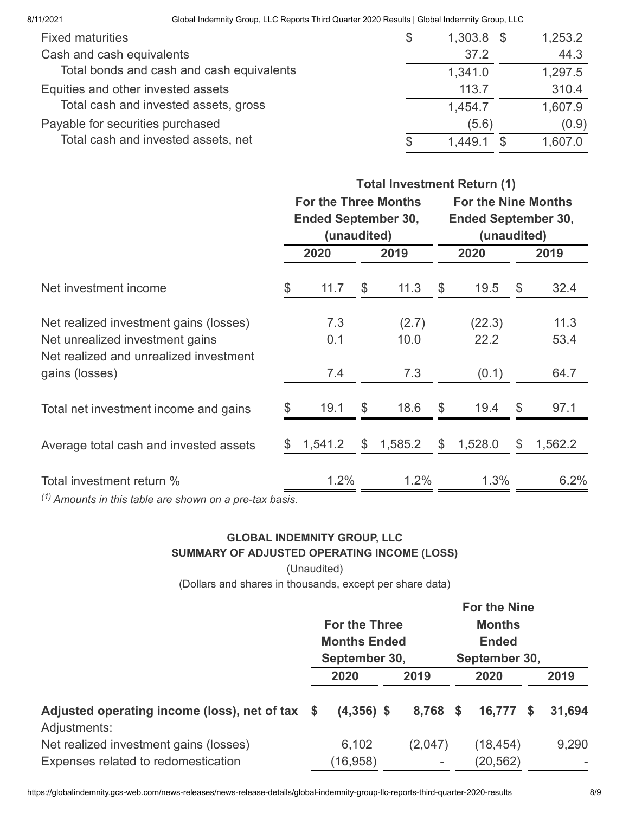| <b>Fixed maturities</b>                   | \$ | $1,303.8$ \$ | 1,253.2 |
|-------------------------------------------|----|--------------|---------|
| Cash and cash equivalents                 |    | 37.2         | 44.3    |
| Total bonds and cash and cash equivalents |    | 1,341.0      | 1,297.5 |
| Equities and other invested assets        |    | 113.7        | 310.4   |
| Total cash and invested assets, gross     |    | 1,454.7      | 1,607.9 |
| Payable for securities purchased          |    | (5.6)        | (0.9)   |
| Total cash and invested assets, net       | S  | 1.449.1      | 1,607.0 |

|                                                           | <b>Total Investment Return (1)</b>                        |             |    |         |    |                                           |    |         |  |  |
|-----------------------------------------------------------|-----------------------------------------------------------|-------------|----|---------|----|-------------------------------------------|----|---------|--|--|
|                                                           | <b>For the Three Months</b><br><b>Ended September 30,</b> |             |    |         |    | <b>For the Nine Months</b>                |    |         |  |  |
|                                                           |                                                           | (unaudited) |    |         |    | <b>Ended September 30,</b><br>(unaudited) |    |         |  |  |
|                                                           |                                                           | 2020        |    | 2019    |    | 2020                                      |    | 2019    |  |  |
| Net investment income                                     | \$                                                        | 11.7        | \$ | 11.3    | \$ | 19.5                                      | \$ | 32.4    |  |  |
| Net realized investment gains (losses)                    |                                                           | 7.3         |    | (2.7)   |    | (22.3)                                    |    | 11.3    |  |  |
| Net unrealized investment gains                           |                                                           | 0.1         |    | 10.0    |    | 22.2                                      |    | 53.4    |  |  |
| Net realized and unrealized investment<br>gains (losses)  |                                                           | 7.4         |    | 7.3     |    | (0.1)                                     |    | 64.7    |  |  |
| Total net investment income and gains                     |                                                           | 19.1        | \$ | 18.6    | \$ | 19.4                                      | \$ | 97.1    |  |  |
| Average total cash and invested assets                    |                                                           | 1,541.2     | \$ | 1,585.2 | \$ | 1,528.0                                   | \$ | 1,562.2 |  |  |
| Total investment return %                                 |                                                           | 1.2%        |    | 1.2%    |    | 1.3%                                      |    | $6.2\%$ |  |  |
| $(1)$ Amounts in this table are shown on a pre-tax basis. |                                                           |             |    |         |    |                                           |    |         |  |  |

## **GLOBAL INDEMNITY GROUP, LLC SUMMARY OF ADJUSTED OPERATING INCOME (LOSS)**

(Unaudited)

(Dollars and shares in thousands, except per share data)

|                                                                 |  | <b>For the Nine</b>                                          |  |                              |                                                |           |      |                          |  |
|-----------------------------------------------------------------|--|--------------------------------------------------------------|--|------------------------------|------------------------------------------------|-----------|------|--------------------------|--|
|                                                                 |  | <b>For the Three</b><br><b>Months Ended</b><br>September 30, |  |                              | <b>Months</b><br><b>Ended</b><br>September 30, |           |      |                          |  |
|                                                                 |  |                                                              |  |                              |                                                |           |      |                          |  |
|                                                                 |  |                                                              |  |                              |                                                |           |      |                          |  |
|                                                                 |  | 2020                                                         |  | 2019                         |                                                | 2020      |      | 2019                     |  |
| Adjusted operating income (loss), net of tax \$<br>Adjustments: |  | $(4,356)$ \$                                                 |  | 8,768 \$                     |                                                | 16,777    | - \$ | 31,694                   |  |
| Net realized investment gains (losses)                          |  | 6,102                                                        |  | (2,047)                      |                                                | (18, 454) |      | 9,290                    |  |
| Expenses related to redomestication                             |  | (16, 958)                                                    |  | $\qquad \qquad \blacksquare$ |                                                | (20, 562) |      | $\overline{\phantom{a}}$ |  |